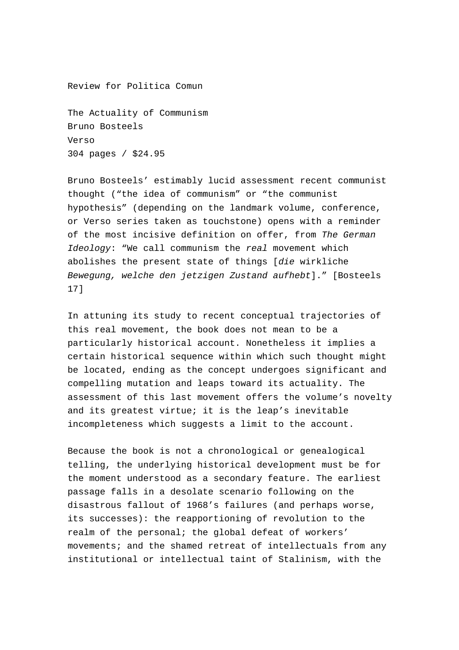Review for Politica Comun

The Actuality of Communism Bruno Bosteels Verso 304 pages / \$24.95

Bruno Bosteels' estimably lucid assessment recent communist thought ("the idea of communism" or "the communist hypothesis" (depending on the landmark volume, conference, or Verso series taken as touchstone) opens with a reminder of the most incisive definition on offer, from The German Ideology: "We call communism the real movement which abolishes the present state of things [die wirkliche Bewegung, welche den jetzigen Zustand aufhebt]." [Bosteels 17]

In attuning its study to recent conceptual trajectories of this real movement, the book does not mean to be a particularly historical account. Nonetheless it implies a certain historical sequence within which such thought might be located, ending as the concept undergoes significant and compelling mutation and leaps toward its actuality. The assessment of this last movement offers the volume's novelty and its greatest virtue; it is the leap's inevitable incompleteness which suggests a limit to the account.

Because the book is not a chronological or genealogical telling, the underlying historical development must be for the moment understood as a secondary feature. The earliest passage falls in a desolate scenario following on the disastrous fallout of 1968's failures (and perhaps worse, its successes): the reapportioning of revolution to the realm of the personal; the global defeat of workers' movements; and the shamed retreat of intellectuals from any institutional or intellectual taint of Stalinism, with the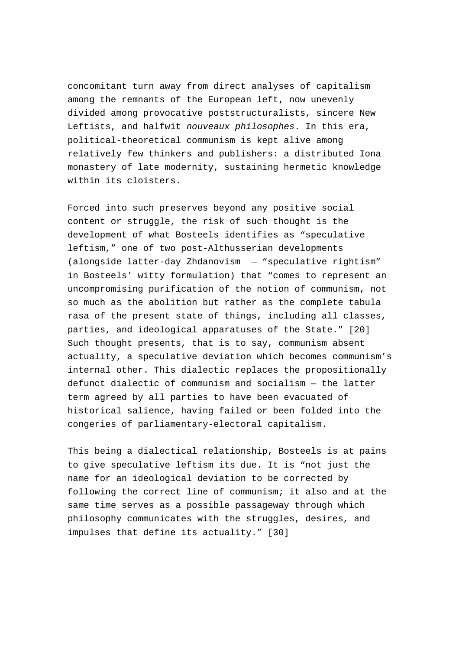concomitant turn away from direct analyses of capitalism among the remnants of the European left, now unevenly divided among provocative poststructuralists, sincere New Leftists, and halfwit nouveaux philosophes. In this era, political-theoretical communism is kept alive among relatively few thinkers and publishers: a distributed Iona monastery of late modernity, sustaining hermetic knowledge within its cloisters.

Forced into such preserves beyond any positive social content or struggle, the risk of such thought is the development of what Bosteels identifies as "speculative leftism," one of two post-Althusserian developments (alongside latter-day Zhdanovism — "speculative rightism" in Bosteels' witty formulation) that "comes to represent an uncompromising purification of the notion of communism, not so much as the abolition but rather as the complete tabula rasa of the present state of things, including all classes, parties, and ideological apparatuses of the State." [20] Such thought presents, that is to say, communism absent actuality, a speculative deviation which becomes communism's internal other. This dialectic replaces the propositionally defunct dialectic of communism and socialism — the latter term agreed by all parties to have been evacuated of historical salience, having failed or been folded into the congeries of parliamentary-electoral capitalism.

This being a dialectical relationship, Bosteels is at pains to give speculative leftism its due. It is "not just the name for an ideological deviation to be corrected by following the correct line of communism; it also and at the same time serves as a possible passageway through which philosophy communicates with the struggles, desires, and impulses that define its actuality." [30]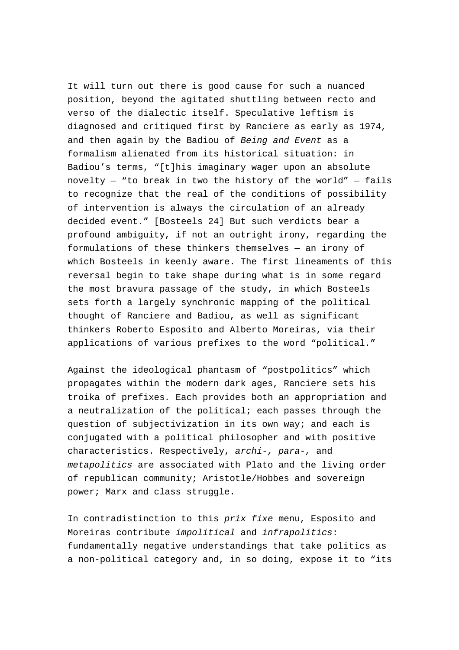It will turn out there is good cause for such a nuanced position, beyond the agitated shuttling between recto and verso of the dialectic itself. Speculative leftism is diagnosed and critiqued first by Ranciere as early as 1974, and then again by the Badiou of Being and Event as a formalism alienated from its historical situation: in Badiou's terms, "[t]his imaginary wager upon an absolute novelty  $-$  "to break in two the history of the world"  $-$  fails to recognize that the real of the conditions of possibility of intervention is always the circulation of an already decided event." [Bosteels 24] But such verdicts bear a profound ambiguity, if not an outright irony, regarding the formulations of these thinkers themselves — an irony of which Bosteels in keenly aware. The first lineaments of this reversal begin to take shape during what is in some regard the most bravura passage of the study, in which Bosteels sets forth a largely synchronic mapping of the political thought of Ranciere and Badiou, as well as significant thinkers Roberto Esposito and Alberto Moreiras, via their applications of various prefixes to the word "political."

Against the ideological phantasm of "postpolitics" which propagates within the modern dark ages, Ranciere sets his troika of prefixes. Each provides both an appropriation and a neutralization of the political; each passes through the question of subjectivization in its own way; and each is conjugated with a political philosopher and with positive characteristics. Respectively, archi-, para-, and metapolitics are associated with Plato and the living order of republican community; Aristotle/Hobbes and sovereign power; Marx and class struggle.

In contradistinction to this prix fixe menu, Esposito and Moreiras contribute impolitical and infrapolitics: fundamentally negative understandings that take politics as a non-political category and, in so doing, expose it to "its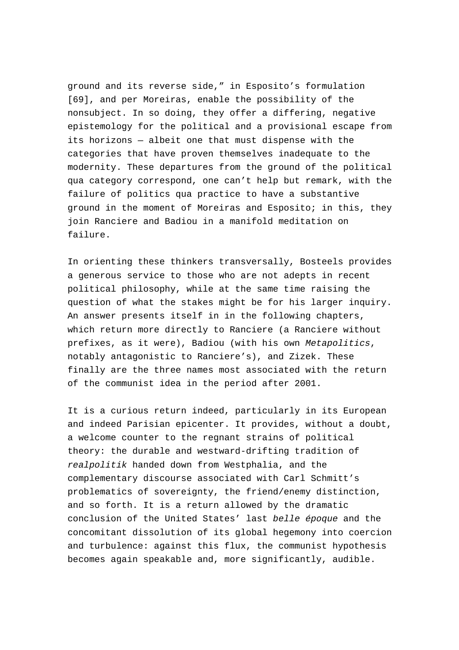ground and its reverse side," in Esposito's formulation [69], and per Moreiras, enable the possibility of the nonsubject. In so doing, they offer a differing, negative epistemology for the political and a provisional escape from its horizons — albeit one that must dispense with the categories that have proven themselves inadequate to the modernity. These departures from the ground of the political qua category correspond, one can't help but remark, with the failure of politics qua practice to have a substantive ground in the moment of Moreiras and Esposito; in this, they join Ranciere and Badiou in a manifold meditation on failure.

In orienting these thinkers transversally, Bosteels provides a generous service to those who are not adepts in recent political philosophy, while at the same time raising the question of what the stakes might be for his larger inquiry. An answer presents itself in in the following chapters, which return more directly to Ranciere (a Ranciere without prefixes, as it were), Badiou (with his own Metapolitics, notably antagonistic to Ranciere's), and Zizek. These finally are the three names most associated with the return of the communist idea in the period after 2001.

It is a curious return indeed, particularly in its European and indeed Parisian epicenter. It provides, without a doubt, a welcome counter to the regnant strains of political theory: the durable and westward-drifting tradition of realpolitik handed down from Westphalia, and the complementary discourse associated with Carl Schmitt's problematics of sovereignty, the friend/enemy distinction, and so forth. It is a return allowed by the dramatic conclusion of the United States' last belle époque and the concomitant dissolution of its global hegemony into coercion and turbulence: against this flux, the communist hypothesis becomes again speakable and, more significantly, audible.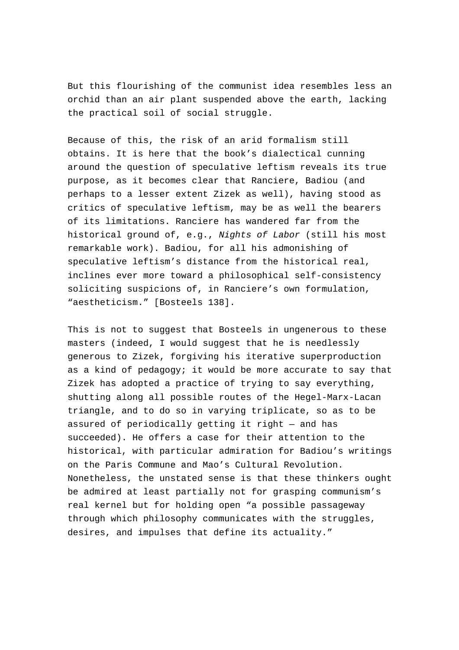But this flourishing of the communist idea resembles less an orchid than an air plant suspended above the earth, lacking the practical soil of social struggle.

Because of this, the risk of an arid formalism still obtains. It is here that the book's dialectical cunning around the question of speculative leftism reveals its true purpose, as it becomes clear that Ranciere, Badiou (and perhaps to a lesser extent Zizek as well), having stood as critics of speculative leftism, may be as well the bearers of its limitations. Ranciere has wandered far from the historical ground of, e.g., Nights of Labor (still his most remarkable work). Badiou, for all his admonishing of speculative leftism's distance from the historical real, inclines ever more toward a philosophical self-consistency soliciting suspicions of, in Ranciere's own formulation, "aestheticism." [Bosteels 138].

This is not to suggest that Bosteels in ungenerous to these masters (indeed, I would suggest that he is needlessly generous to Zizek, forgiving his iterative superproduction as a kind of pedagogy; it would be more accurate to say that Zizek has adopted a practice of trying to say everything, shutting along all possible routes of the Hegel-Marx-Lacan triangle, and to do so in varying triplicate, so as to be assured of periodically getting it right — and has succeeded). He offers a case for their attention to the historical, with particular admiration for Badiou's writings on the Paris Commune and Mao's Cultural Revolution. Nonetheless, the unstated sense is that these thinkers ought be admired at least partially not for grasping communism's real kernel but for holding open "a possible passageway through which philosophy communicates with the struggles, desires, and impulses that define its actuality."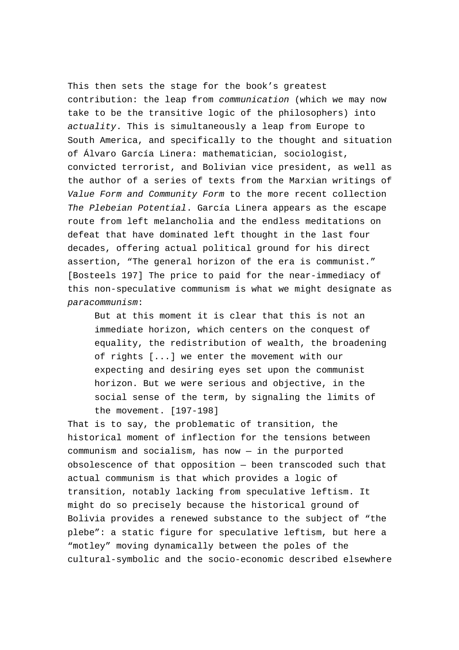This then sets the stage for the book's greatest contribution: the leap from communication (which we may now take to be the transitive logic of the philosophers) into actuality. This is simultaneously a leap from Europe to South America, and specifically to the thought and situation of Álvaro García Linera: mathematician, sociologist, convicted terrorist, and Bolivian vice president, as well as the author of a series of texts from the Marxian writings of Value Form and Community Form to the more recent collection The Plebeian Potential. García Linera appears as the escape route from left melancholia and the endless meditations on defeat that have dominated left thought in the last four decades, offering actual political ground for his direct assertion, "The general horizon of the era is communist." [Bosteels 197] The price to paid for the near-immediacy of this non-speculative communism is what we might designate as paracommunism:

But at this moment it is clear that this is not an immediate horizon, which centers on the conquest of equality, the redistribution of wealth, the broadening of rights [...] we enter the movement with our expecting and desiring eyes set upon the communist horizon. But we were serious and objective, in the social sense of the term, by signaling the limits of the movement. [197-198]

That is to say, the problematic of transition, the historical moment of inflection for the tensions between communism and socialism, has now — in the purported obsolescence of that opposition — been transcoded such that actual communism is that which provides a logic of transition, notably lacking from speculative leftism. It might do so precisely because the historical ground of Bolivia provides a renewed substance to the subject of "the plebe": a static figure for speculative leftism, but here a "motley" moving dynamically between the poles of the cultural-symbolic and the socio-economic described elsewhere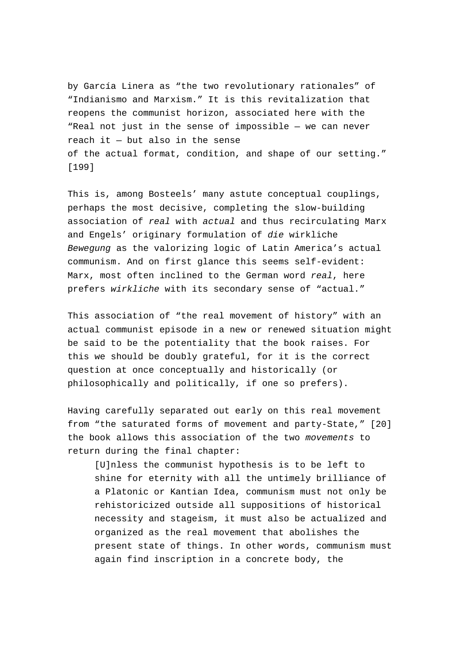by García Linera as "the two revolutionary rationales" of "Indianismo and Marxism." It is this revitalization that reopens the communist horizon, associated here with the "Real not just in the sense of impossible — we can never reach it — but also in the sense of the actual format, condition, and shape of our setting." [199]

This is, among Bosteels' many astute conceptual couplings, perhaps the most decisive, completing the slow-building association of real with actual and thus recirculating Marx and Engels' originary formulation of die wirkliche Bewegung as the valorizing logic of Latin America's actual communism. And on first glance this seems self-evident: Marx, most often inclined to the German word real, here prefers wirkliche with its secondary sense of "actual."

This association of "the real movement of history" with an actual communist episode in a new or renewed situation might be said to be the potentiality that the book raises. For this we should be doubly grateful, for it is the correct question at once conceptually and historically (or philosophically and politically, if one so prefers).

Having carefully separated out early on this real movement from "the saturated forms of movement and party-State," [20] the book allows this association of the two movements to return during the final chapter:

[U]nless the communist hypothesis is to be left to shine for eternity with all the untimely brilliance of a Platonic or Kantian Idea, communism must not only be rehistoricized outside all suppositions of historical necessity and stageism, it must also be actualized and organized as the real movement that abolishes the present state of things. In other words, communism must again find inscription in a concrete body, the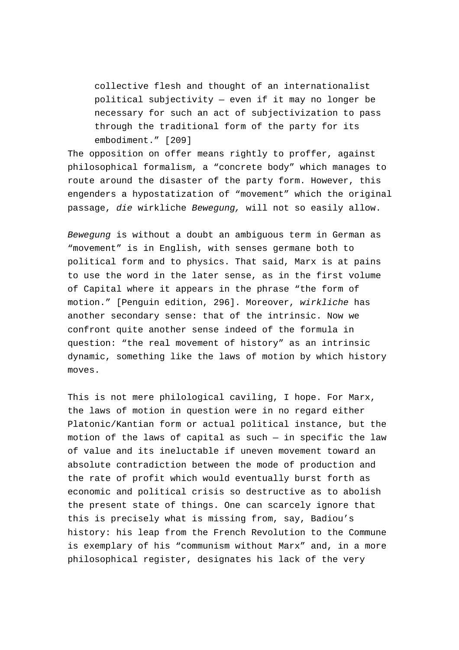collective flesh and thought of an internationalist political subjectivity — even if it may no longer be necessary for such an act of subjectivization to pass through the traditional form of the party for its embodiment." [209]

The opposition on offer means rightly to proffer, against philosophical formalism, a "concrete body" which manages to route around the disaster of the party form. However, this engenders a hypostatization of "movement" which the original passage, die wirkliche Bewegung, will not so easily allow.

Bewegung is without a doubt an ambiguous term in German as "movement" is in English, with senses germane both to political form and to physics. That said, Marx is at pains to use the word in the later sense, as in the first volume of Capital where it appears in the phrase "the form of motion." [Penguin edition, 296]. Moreover, wirkliche has another secondary sense: that of the intrinsic. Now we confront quite another sense indeed of the formula in question: "the real movement of history" as an intrinsic dynamic, something like the laws of motion by which history moves.

This is not mere philological caviling, I hope. For Marx, the laws of motion in question were in no regard either Platonic/Kantian form or actual political instance, but the motion of the laws of capital as such  $-$  in specific the law of value and its ineluctable if uneven movement toward an absolute contradiction between the mode of production and the rate of profit which would eventually burst forth as economic and political crisis so destructive as to abolish the present state of things. One can scarcely ignore that this is precisely what is missing from, say, Badiou's history: his leap from the French Revolution to the Commune is exemplary of his "communism without Marx" and, in a more philosophical register, designates his lack of the very